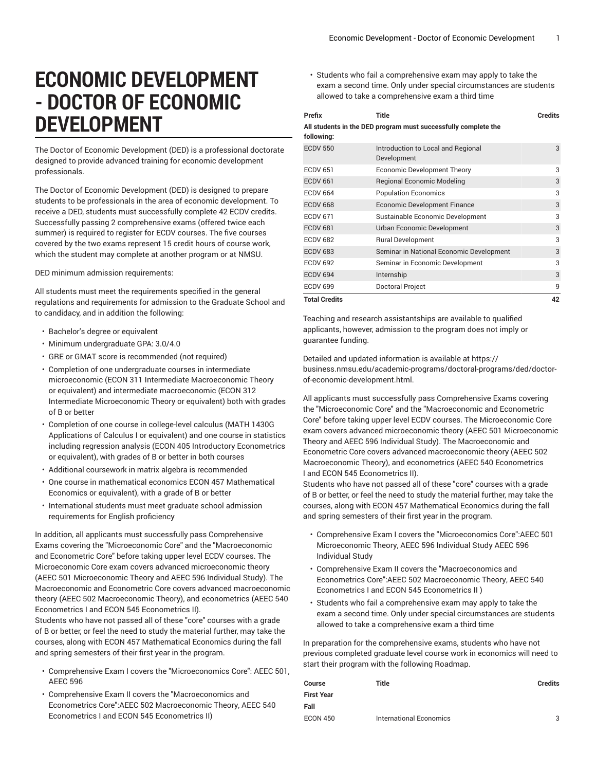## **ECONOMIC DEVELOPMENT - DOCTOR OF ECONOMIC DEVELOPMENT**

The Doctor of Economic Development (DED) is a professional doctorate designed to provide advanced training for economic development professionals.

The Doctor of Economic Development (DED) is designed to prepare students to be professionals in the area of economic development. To receive a DED, students must successfully complete 42 ECDV credits. Successfully passing 2 comprehensive exams (offered twice each summer) is required to register for ECDV courses. The five courses covered by the two exams represent 15 credit hours of course work, which the student may complete at another program or at NMSU.

DED minimum admission requirements:

All students must meet the requirements specified in the general regulations and requirements for admission to the Graduate School and to candidacy, and in addition the following:

- Bachelor's degree or equivalent
- Minimum undergraduate GPA: 3.0/4.0
- GRE or GMAT score is recommended (not required)
- Completion of one undergraduate courses in intermediate microeconomic (ECON 311 Intermediate Macroeconomic Theory or equivalent) and intermediate macroeconomic (ECON 312 Intermediate Microeconomic Theory or equivalent) both with grades of B or better
- Completion of one course in college-level calculus (MATH 1430G Applications of Calculus I or equivalent) and one course in statistics including regression analysis (ECON 405 Introductory Econometrics or equivalent), with grades of B or better in both courses
- Additional coursework in matrix algebra is recommended
- One course in mathematical economics ECON 457 Mathematical Economics or equivalent), with a grade of B or better
- International students must meet graduate school admission requirements for English proficiency

In addition, all applicants must successfully pass Comprehensive Exams covering the "Microeconomic Core" and the "Macroeconomic and Econometric Core" before taking upper level ECDV courses. The Microeconomic Core exam covers advanced microeconomic theory (AEEC 501 Microeconomic Theory and AEEC 596 Individual Study). The Macroeconomic and Econometric Core covers advanced macroeconomic theory (AEEC 502 Macroeconomic Theory), and econometrics (AEEC 540 Econometrics I and ECON 545 Econometrics II).

Students who have not passed all of these "core" courses with a grade of B or better, or feel the need to study the material further, may take the courses, along with ECON 457 Mathematical Economics during the fall and spring semesters of their first year in the program.

- Comprehensive Exam I covers the "Microeconomics Core": AEEC 501, AEEC 596
- Comprehensive Exam II covers the "Macroeconomics and Econometrics Core":AEEC 502 Macroeconomic Theory, AEEC 540 Econometrics I and ECON 545 Econometrics II)

• Students who fail a comprehensive exam may apply to take the exam a second time. Only under special circumstances are students allowed to take a comprehensive exam a third time

| Prefix<br>following: | Title<br>All students in the DED program must successfully complete the | Credits |
|----------------------|-------------------------------------------------------------------------|---------|
| <b>ECDV 550</b>      | Introduction to Local and Regional<br>Development                       | 3       |
| <b>ECDV 651</b>      | Economic Development Theory                                             | 3       |
| <b>ECDV 661</b>      | <b>Regional Economic Modeling</b>                                       | 3       |
| <b>ECDV 664</b>      | <b>Population Economics</b>                                             | 3       |
| <b>ECDV 668</b>      | <b>Economic Development Finance</b>                                     | 3       |
| <b>ECDV 671</b>      | Sustainable Economic Development                                        | 3       |
| <b>ECDV 681</b>      | Urban Economic Development                                              | 3       |
| <b>ECDV 682</b>      | <b>Rural Development</b>                                                | 3       |
| <b>ECDV 683</b>      | Seminar in National Economic Development                                | 3       |
| <b>ECDV 692</b>      | Seminar in Economic Development                                         | 3       |
| <b>ECDV 694</b>      | Internship                                                              | 3       |
| <b>ECDV 699</b>      | Doctoral Project                                                        | 9       |
| <b>Total Credits</b> |                                                                         | 42      |

Teaching and research assistantships are available to qualified applicants, however, admission to the program does not imply or guarantee funding.

Detailed and updated information is available at [https://](https://business.nmsu.edu/academic-programs/doctoral-programs/ded/doctor-of-economic-development.html) [business.nmsu.edu/academic-programs/doctoral-programs/ded/doctor](https://business.nmsu.edu/academic-programs/doctoral-programs/ded/doctor-of-economic-development.html)[of-economic-development.html](https://business.nmsu.edu/academic-programs/doctoral-programs/ded/doctor-of-economic-development.html).

All applicants must successfully pass Comprehensive Exams covering the "Microeconomic Core" and the "Macroeconomic and Econometric Core" before taking upper level ECDV courses. The Microeconomic Core exam covers advanced microeconomic theory ([AEEC 501](/search/?P=AEEC%20501) Microeconomic Theory and [AEEC 596](/search/?P=AEEC%20596) Individual Study). The Macroeconomic and Econometric Core covers advanced macroeconomic theory ([AEEC 502](/search/?P=AEEC%20502) Macroeconomic Theory), and econometrics ([AEEC 540](/search/?P=AEEC%20540) Econometrics I and [ECON 545](/search/?P=ECON%20545) Econometrics II).

Students who have not passed all of these "core" courses with a grade of B or better, or feel the need to study the material further, may take the courses, along with [ECON 457](/search/?P=ECON%20457) Mathematical Economics during the fall and spring semesters of their first year in the program.

- Comprehensive Exam I covers the "Microeconomics Core":AEEC 501 Microeconomic Theory, AEEC 596 Individual Study [AEEC 596](/search/?P=AEEC%20596) Individual Study
- Comprehensive Exam II covers the "Macroeconomics and Econometrics Core":AEEC 502 Macroeconomic Theory, AEEC 540 Econometrics I and ECON 545 Econometrics II )
- Students who fail a comprehensive exam may apply to take the exam a second time. Only under special circumstances are students allowed to take a comprehensive exam a third time

In preparation for the comprehensive exams, students who have not previous completed graduate level course work in economics will need to start their program with the following Roadmap.

| Course          | Title                   | <b>Credits</b> |
|-----------------|-------------------------|----------------|
| First Year      |                         |                |
| Fall            |                         |                |
| <b>ECON 450</b> | International Economics | 3              |